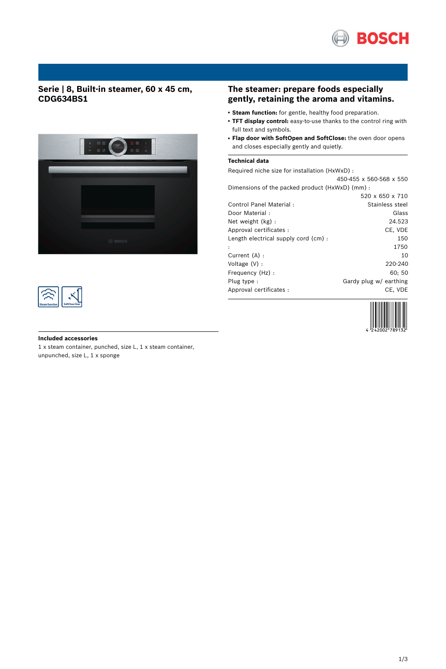

## **Serie | 8, Built-in steamer, 60 x 45 cm, CDG634BS1**





# **The steamer: prepare foods especially gently, retaining the aroma and vitamins.**

- **Steam function:** for gentle, healthy food preparation.
- **TFT display control:** easy-to-use thanks to the control ring with full text and symbols.
- **Flap door with SoftOpen and SoftClose:** the oven door opens and closes especially gently and quietly.

#### **Technical data**

Required niche size for installation (HxWxD) : 450-455 x 560-568 x 550

| Dimensions of the packed product (HxWxD) (mm): |                        |
|------------------------------------------------|------------------------|
|                                                | 520 x 650 x 710        |
| Control Panel Material:                        | Stainless steel        |
| Door Material:                                 | Glass                  |
| Net weight (kg):                               | 24.523                 |
| Approval certificates :                        | CE, VDE                |
| Length electrical supply cord (cm):            | 150                    |
|                                                | 1750                   |
| Current (A) :                                  | 10                     |
| Voltage $(V)$ :                                | 220-240                |
| Frequency (Hz) :                               | 60: 50                 |
| Plug type:                                     | Gardy plug w/ earthing |
| Approval certificates :                        | CE, VDE                |
|                                                |                        |



# **Included accessories** 1 x steam container, punched, size L, 1 x steam container,

unpunched, size L, 1 x sponge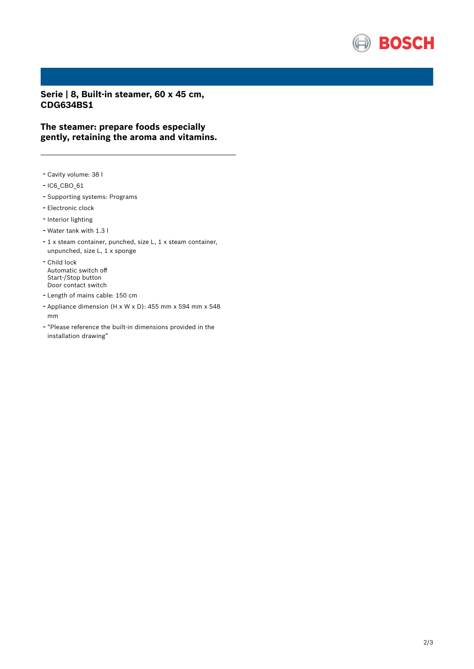

**Serie | 8, Built-in steamer, 60 x 45 cm, CDG634BS1**

**The steamer: prepare foods especially gently, retaining the aroma and vitamins.**

- Cavity volume: <sup>38</sup> <sup>l</sup>
- IC6\_CBO\_61
- Supporting systems: Programs
- Electronic clock
- Interior lighting
- Water tank with 1.3 <sup>l</sup>
- <sup>1</sup> <sup>x</sup> steam container, punched, size L, <sup>1</sup> <sup>x</sup> steam container, unpunched, size L, 1 x sponge
- Child lock Automatic switch off Start-/Stop button Door contact switch
- Length of mains cable: <sup>150</sup> cm
- Appliance dimension (H x W x D): 455 mm x 594 mm x 548 mm
- "Please reference the built-in dimensions provided in the installation drawing"